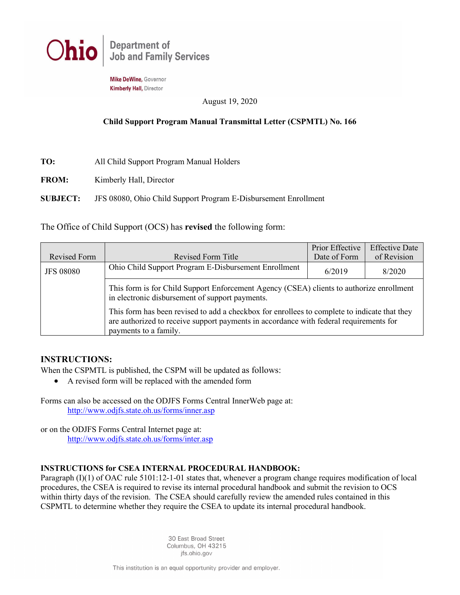

Mike DeWine, Governor **Kimberly Hall, Director** 

August 19, 2020

## **Child Support Program Manual Transmittal Letter (CSPMTL) No. 166**

- **TO:** All Child Support Program Manual Holders
- **FROM:** Kimberly Hall, Director

**SUBJECT:** JFS 08080, Ohio Child Support Program E-Disbursement Enrollment

The Office of Child Support (OCS) has **revised** the following form:

|                  |                                                                                                                                                                                                                                                                                                                                                                | Prior Effective | <b>Effective Date</b> |  |  |  |
|------------------|----------------------------------------------------------------------------------------------------------------------------------------------------------------------------------------------------------------------------------------------------------------------------------------------------------------------------------------------------------------|-----------------|-----------------------|--|--|--|
| Revised Form     | Revised Form Title                                                                                                                                                                                                                                                                                                                                             | Date of Form    | of Revision           |  |  |  |
| <b>JFS 08080</b> | Ohio Child Support Program E-Disbursement Enrollment                                                                                                                                                                                                                                                                                                           | 6/2019          | 8/2020                |  |  |  |
|                  | This form is for Child Support Enforcement Agency (CSEA) clients to authorize enrollment<br>in electronic disbursement of support payments.<br>This form has been revised to add a checkbox for enrollees to complete to indicate that they<br>are authorized to receive support payments in accordance with federal requirements for<br>payments to a family. |                 |                       |  |  |  |
|                  |                                                                                                                                                                                                                                                                                                                                                                |                 |                       |  |  |  |

## **INSTRUCTIONS:**

When the CSPMTL is published, the CSPM will be updated as follows:

• A revised form will be replaced with the amended form

Forms can also be accessed on the ODJFS Forms Central InnerWeb page at: <http://www.odjfs.state.oh.us/forms/inner.asp>

or on the ODJFS Forms Central Internet page at: <http://www.odjfs.state.oh.us/forms/inter.asp>

## **INSTRUCTIONS for CSEA INTERNAL PROCEDURAL HANDBOOK:**

Paragraph (I)(1) of OAC rule 5101:12-1-01 states that, whenever a program change requires modification of local procedures, the CSEA is required to revise its internal procedural handbook and submit the revision to OCS within thirty days of the revision. The CSEA should carefully review the amended rules contained in this CSPMTL to determine whether they require the CSEA to update its internal procedural handbook.

> 30 East Broad Street Columbus, OH 43215 jfs.ohio.gov